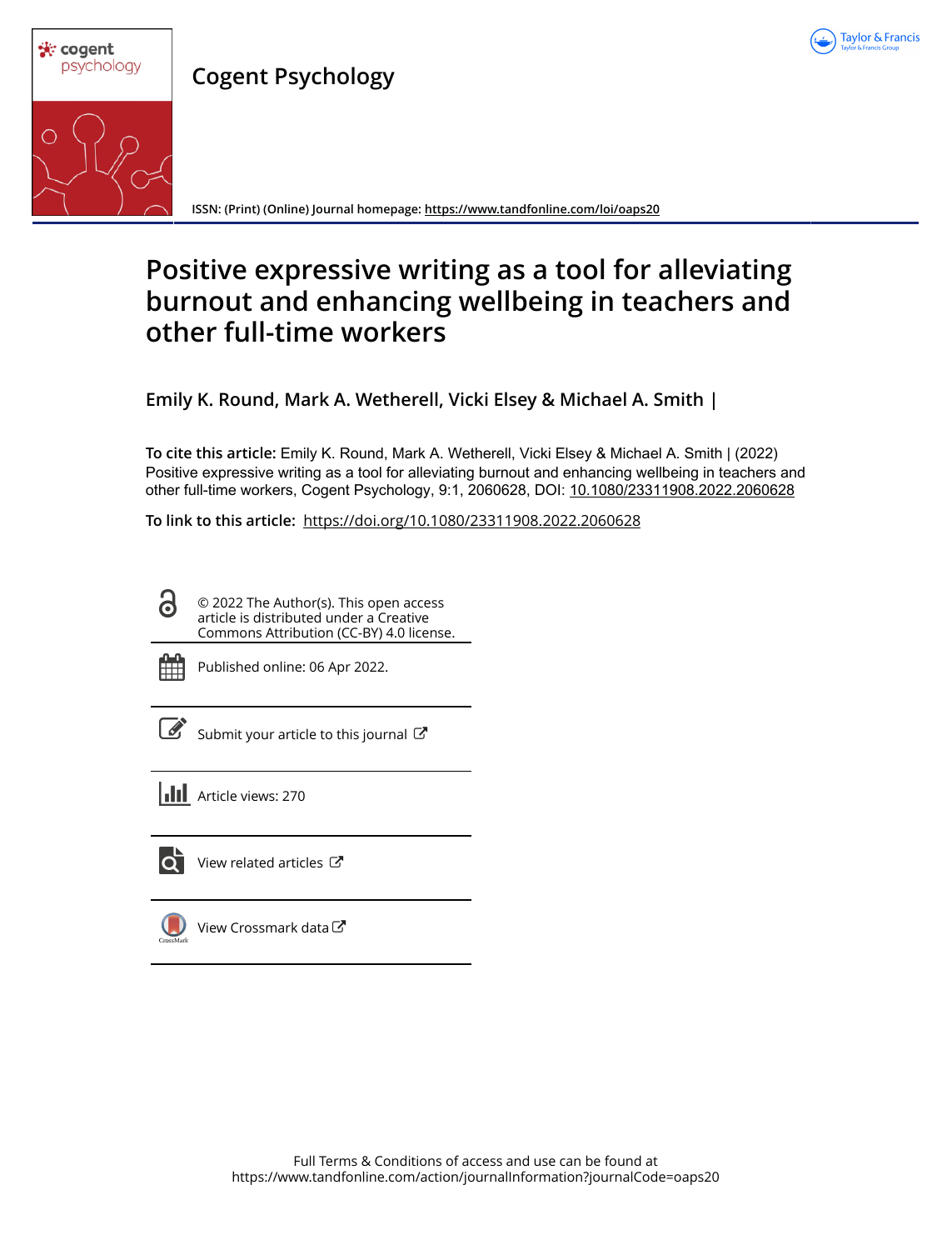

**Cogent Psychology**



**ISSN: (Print) (Online) Journal homepage:<https://www.tandfonline.com/loi/oaps20>**

## **Positive expressive writing as a tool for alleviating burnout and enhancing wellbeing in teachers and other full-time workers**

**Emily K. Round, Mark A. Wetherell, Vicki Elsey & Michael A. Smith |**

**To cite this article:** Emily K. Round, Mark A. Wetherell, Vicki Elsey & Michael A. Smith | (2022) Positive expressive writing as a tool for alleviating burnout and enhancing wellbeing in teachers and other full-time workers, Cogent Psychology, 9:1, 2060628, DOI: [10.1080/23311908.2022.2060628](https://www.tandfonline.com/action/showCitFormats?doi=10.1080/23311908.2022.2060628)

**To link to this article:** <https://doi.org/10.1080/23311908.2022.2060628>

© 2022 The Author(s). This open access article is distributed under a Creative Commons Attribution (CC-BY) 4.0 license.



G

Published online: 06 Apr 2022.

[Submit your article to this journal](https://www.tandfonline.com/action/authorSubmission?journalCode=oaps20&show=instructions)  $\mathbb{Z}$ 

**III** Article views: 270



 $\bullet$  [View related articles](https://www.tandfonline.com/doi/mlt/10.1080/23311908.2022.2060628)  $\circ$ 

[View Crossmark data](http://crossmark.crossref.org/dialog/?doi=10.1080/23311908.2022.2060628&domain=pdf&date_stamp=2022-04-06) $\mathbb{Z}$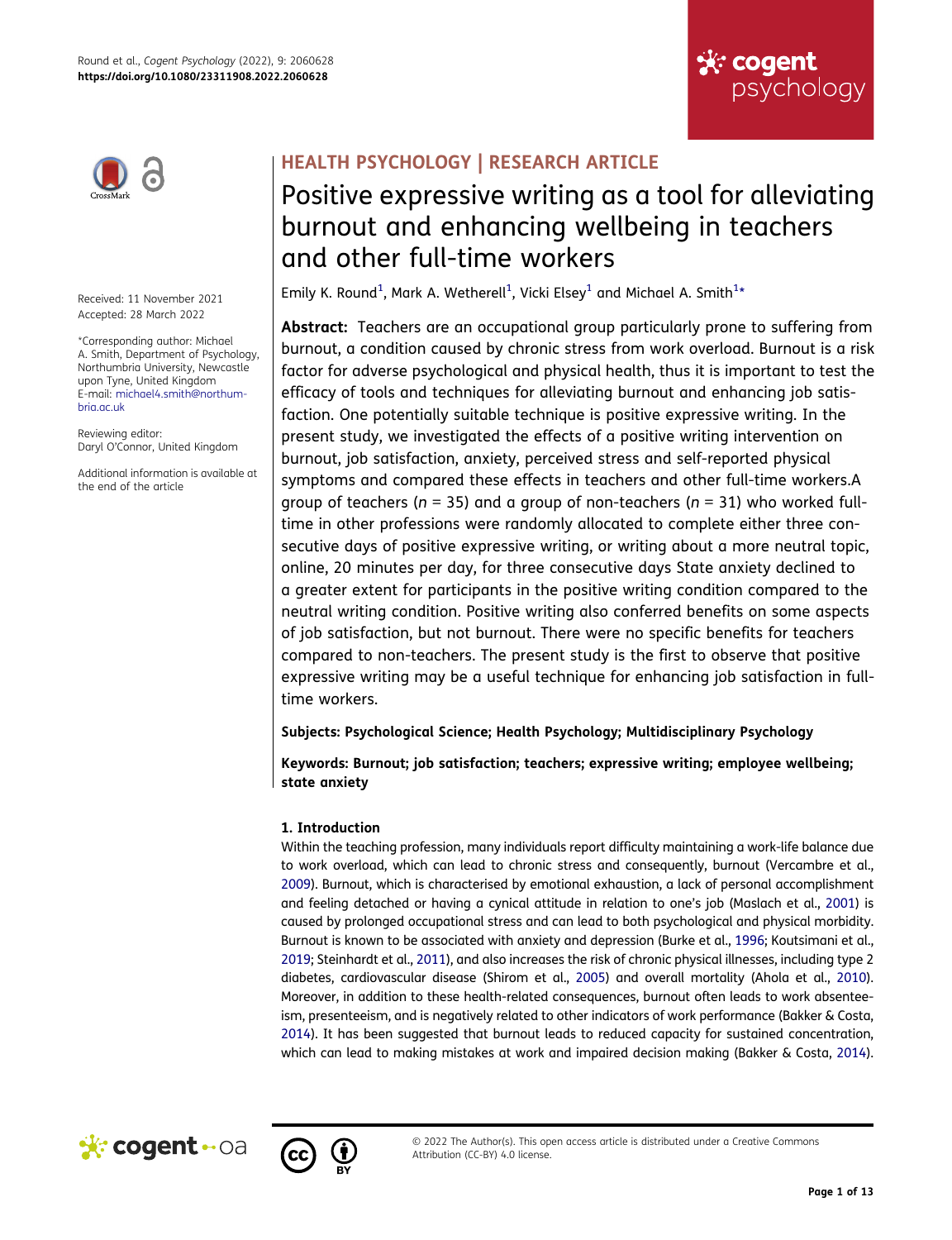



Received: 11 November 2021 Accepted: 28 March 2022

\*Corresponding author: Michael A. Smith, Department of Psychology, Northumbria University, Newcastle upon Tyne, United Kingdom E-mail: michael4.smith@northumbria.ac.uk

Reviewing editor: Daryl O'Connor, United Kingdom

Additional information is available at the end of the article

## **HEALTH PSYCHOLOGY | RESEARCH ARTICLE**

# Positive expressive writing as a tool for alleviating burnout and enhancing wellbeing in teachers and other full-time workers

<span id="page-1-0"></span>Emily K. Round $^1$  $^1$ , Mark A. Wetherell $^1$ , Vicki Elsey $^1$  and Michael A. Smith $^{1\star}$ 

**Abstract:** Teachers are an occupational group particularly prone to suffering from burnout, a condition caused by chronic stress from work overload. Burnout is a risk factor for adverse psychological and physical health, thus it is important to test the efficacy of tools and techniques for alleviating burnout and enhancing job satisfaction. One potentially suitable technique is positive expressive writing. In the present study, we investigated the effects of a positive writing intervention on burnout, job satisfaction, anxiety, perceived stress and self-reported physical symptoms and compared these effects in teachers and other full-time workers.A group of teachers (*n* = 35) and a group of non-teachers (*n* = 31) who worked fulltime in other professions were randomly allocated to complete either three consecutive days of positive expressive writing, or writing about a more neutral topic, online, 20 minutes per day, for three consecutive days State anxiety declined to a greater extent for participants in the positive writing condition compared to the neutral writing condition. Positive writing also conferred benefits on some aspects of job satisfaction, but not burnout. There were no specific benefits for teachers compared to non-teachers. The present study is the first to observe that positive expressive writing may be a useful technique for enhancing job satisfaction in fulltime workers.

**Subjects: Psychological Science; Health Psychology; Multidisciplinary Psychology** 

**Keywords: Burnout; job satisfaction; teachers; expressive writing; employee wellbeing; state anxiety**

## **1. Introduction**

<span id="page-1-6"></span><span id="page-1-5"></span><span id="page-1-4"></span><span id="page-1-3"></span><span id="page-1-1"></span>Within the teaching profession, many individuals report difficulty maintaining a work-life balance due to work overload, which can lead to chronic stress and consequently, burnout (Vercambre et al., [2009](#page-13-0)). Burnout, which is characterised by emotional exhaustion, a lack of personal accomplishment and feeling detached or having a cynical attitude in relation to one's job (Maslach et al., [2001\)](#page-12-1) is caused by prolonged occupational stress and can lead to both psychological and physical morbidity. Burnout is known to be associated with anxiety and depression (Burke et al., [1996;](#page-12-2) Koutsimani et al., [2019](#page-12-3); Steinhardt et al., [2011\)](#page-13-1), and also increases the risk of chronic physical illnesses, including type 2 diabetes, cardiovascular disease (Shirom et al., [2005\)](#page-12-4) and overall mortality (Ahola et al., [2010\)](#page-12-5). Moreover, in addition to these health-related consequences, burnout often leads to work absenteeism, presenteeism, and is negatively related to other indicators of work performance (Bakker & Costa, [2014](#page-12-6)). It has been suggested that burnout leads to reduced capacity for sustained concentration, which can lead to making mistakes at work and impaired decision making (Bakker & Costa, [2014\)](#page-12-6).



<span id="page-1-2"></span>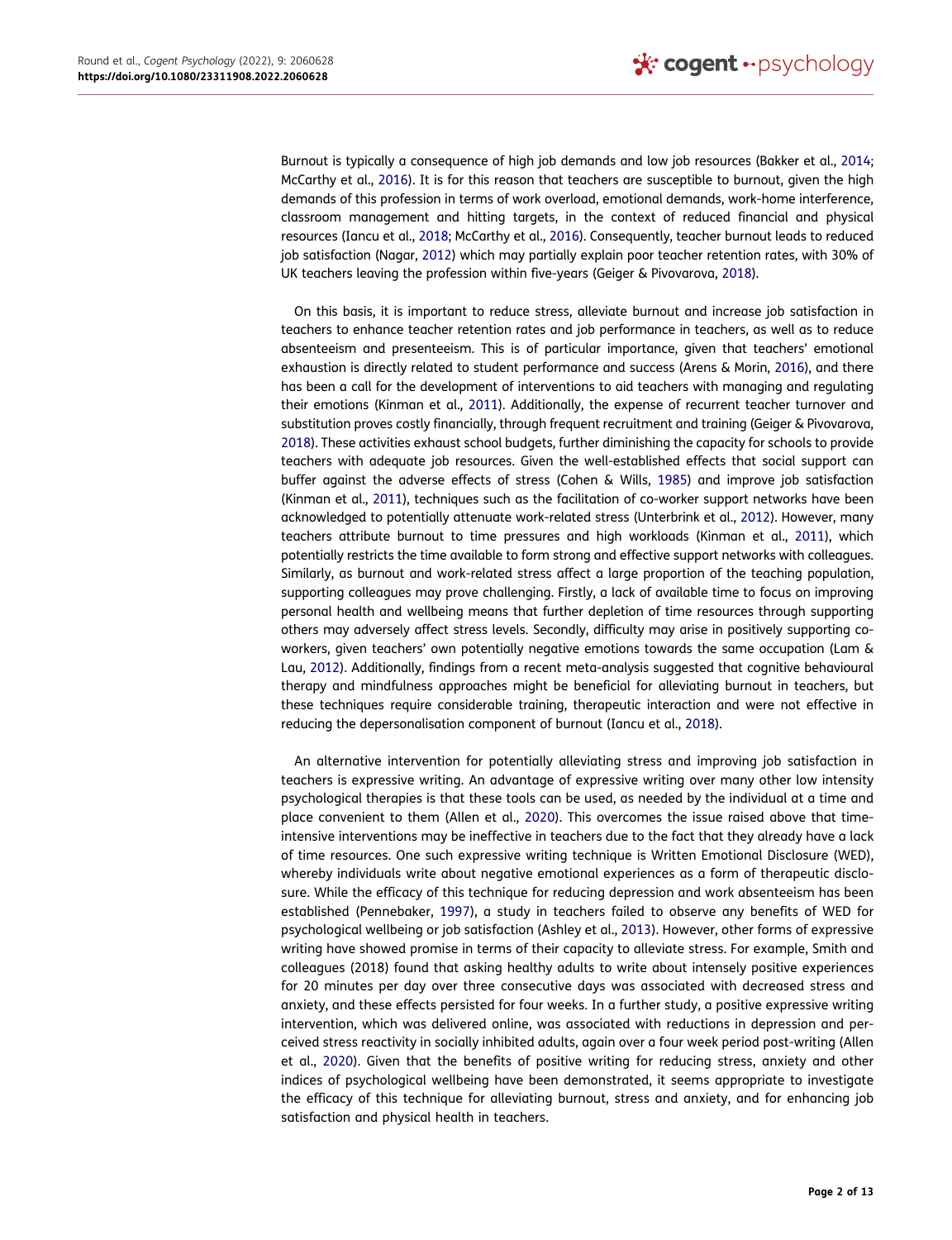<span id="page-2-9"></span><span id="page-2-3"></span>Burnout is typically a consequence of high job demands and low job resources (Bakker et al., [2014](#page-12-7); McCarthy et al., [2016](#page-12-8)). It is for this reason that teachers are susceptible to burnout, given the high demands of this profession in terms of work overload, emotional demands, work-home interference, classroom management and hitting targets, in the context of reduced financial and physical resources (Iancu et al., [2018](#page-12-9); McCarthy et al., [2016\)](#page-12-8). Consequently, teacher burnout leads to reduced job satisfaction (Nagar, [2012](#page-12-10)) which may partially explain poor teacher retention rates, with 30% of UK teachers leaving the profession within five-years (Geiger & Pivovarova, [2018](#page-12-11)).

<span id="page-2-12"></span><span id="page-2-10"></span><span id="page-2-7"></span><span id="page-2-5"></span><span id="page-2-4"></span><span id="page-2-1"></span>On this basis, it is important to reduce stress, alleviate burnout and increase job satisfaction in teachers to enhance teacher retention rates and job performance in teachers, as well as to reduce absenteeism and presenteeism. This is of particular importance, given that teachers' emotional exhaustion is directly related to student performance and success (Arens & Morin, [2016\)](#page-12-12), and there has been a call for the development of interventions to aid teachers with managing and regulating their emotions (Kinman et al., [2011](#page-12-13)). Additionally, the expense of recurrent teacher turnover and substitution proves costly financially, through frequent recruitment and training (Geiger & Pivovarova, [2018](#page-12-11)). These activities exhaust school budgets, further diminishing the capacity for schools to provide teachers with adequate job resources. Given the well-established effects that social support can buffer against the adverse effects of stress (Cohen & Wills, [1985](#page-12-14)) and improve job satisfaction (Kinman et al., [2011\)](#page-12-13), techniques such as the facilitation of co-worker support networks have been acknowledged to potentially attenuate work-related stress (Unterbrink et al., [2012](#page-13-2)). However, many teachers attribute burnout to time pressures and high workloads (Kinman et al., [2011](#page-12-13)), which potentially restricts the time available to form strong and effective support networks with colleagues. Similarly, as burnout and work-related stress affect a large proportion of the teaching population, supporting colleagues may prove challenging. Firstly, a lack of available time to focus on improving personal health and wellbeing means that further depletion of time resources through supporting others may adversely affect stress levels. Secondly, difficulty may arise in positively supporting coworkers, given teachers' own potentially negative emotions towards the same occupation (Lam & Lau, [2012\)](#page-12-15). Additionally, findings from a recent meta-analysis suggested that cognitive behavioural therapy and mindfulness approaches might be beneficial for alleviating burnout in teachers, but these techniques require considerable training, therapeutic interaction and were not effective in reducing the depersonalisation component of burnout (Iancu et al., [2018\)](#page-12-9).

<span id="page-2-11"></span><span id="page-2-8"></span><span id="page-2-6"></span><span id="page-2-2"></span><span id="page-2-0"></span>An alternative intervention for potentially alleviating stress and improving job satisfaction in teachers is expressive writing. An advantage of expressive writing over many other low intensity psychological therapies is that these tools can be used, as needed by the individual at a time and place convenient to them (Allen et al., [2020](#page-12-16)). This overcomes the issue raised above that timeintensive interventions may be ineffective in teachers due to the fact that they already have a lack of time resources. One such expressive writing technique is Written Emotional Disclosure (WED), whereby individuals write about negative emotional experiences as a form of therapeutic disclosure. While the efficacy of this technique for reducing depression and work absenteeism has been established (Pennebaker, [1997\)](#page-12-17), a study in teachers failed to observe any benefits of WED for psychological wellbeing or job satisfaction (Ashley et al., [2013](#page-12-18)). However, other forms of expressive writing have showed promise in terms of their capacity to alleviate stress. For example, Smith and colleagues (2018) found that asking healthy adults to write about intensely positive experiences for 20 minutes per day over three consecutive days was associated with decreased stress and anxiety, and these effects persisted for four weeks. In a further study, a positive expressive writing intervention, which was delivered online, was associated with reductions in depression and perceived stress reactivity in socially inhibited adults, again over a four week period post-writing (Allen et al., [2020](#page-12-16)). Given that the benefits of positive writing for reducing stress, anxiety and other indices of psychological wellbeing have been demonstrated, it seems appropriate to investigate the efficacy of this technique for alleviating burnout, stress and anxiety, and for enhancing job satisfaction and physical health in teachers.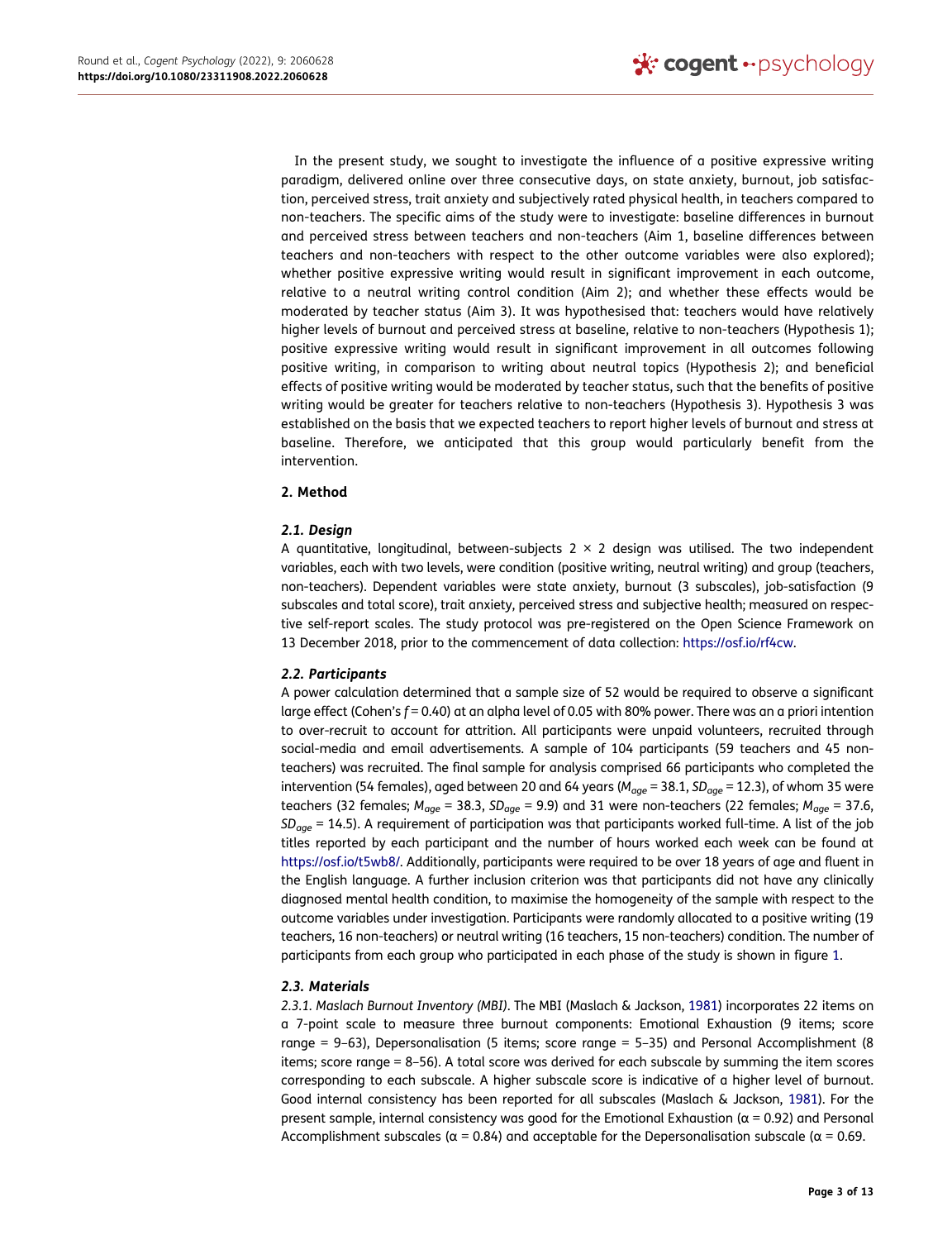In the present study, we sought to investigate the influence of a positive expressive writing paradigm, delivered online over three consecutive days, on state anxiety, burnout, job satisfaction, perceived stress, trait anxiety and subjectively rated physical health, in teachers compared to non-teachers. The specific aims of the study were to investigate: baseline differences in burnout and perceived stress between teachers and non-teachers (Aim 1, baseline differences between teachers and non-teachers with respect to the other outcome variables were also explored); whether positive expressive writing would result in significant improvement in each outcome, relative to a neutral writing control condition (Aim 2); and whether these effects would be moderated by teacher status (Aim 3). It was hypothesised that: teachers would have relatively higher levels of burnout and perceived stress at baseline, relative to non-teachers (Hypothesis 1); positive expressive writing would result in significant improvement in all outcomes following positive writing, in comparison to writing about neutral topics (Hypothesis 2); and beneficial effects of positive writing would be moderated by teacher status, such that the benefits of positive writing would be greater for teachers relative to non-teachers (Hypothesis 3). Hypothesis 3 was established on the basis that we expected teachers to report higher levels of burnout and stress at baseline. Therefore, we anticipated that this group would particularly benefit from the intervention.

## **2. Method**

## *2.1. Design*

A quantitative, longitudinal, between-subjects  $2 \times 2$  design was utilised. The two independent variables, each with two levels, were condition (positive writing, neutral writing) and group (teachers, non-teachers). Dependent variables were state anxiety, burnout (3 subscales), job-satisfaction (9 subscales and total score), trait anxiety, perceived stress and subjective health; measured on respective self-report scales. The study protocol was pre-registered on the Open Science Framework on 13 December 2018, prior to the commencement of data collection: [https://osf.io/rf4cw.](https://osf.io/rf4cw)

## *2.2. Participants*

A power calculation determined that a sample size of 52 would be required to observe a significant large effect (Cohen's  $f = 0.40$ ) at an alpha level of 0.05 with 80% power. There was an a priori intention to over-recruit to account for attrition. All participants were unpaid volunteers, recruited through social-media and email advertisements. A sample of 104 participants (59 teachers and 45 nonteachers) was recruited. The final sample for analysis comprised 66 participants who completed the intervention (54 females), aged between 20 and 64 years (*Mage* = 38.1, *SDage* = 12.3), of whom 35 were teachers (32 females; *Mage* = 38.3, *SDage* = 9.9) and 31 were non-teachers (22 females; *Mage* = 37.6, *SDage* = 14.5). A requirement of participation was that participants worked full-time. A list of the job titles reported by each participant and the number of hours worked each week can be found at <https://osf.io/t5wb8/>. Additionally, participants were required to be over 18 years of age and fluent in the English language. A further inclusion criterion was that participants did not have any clinically diagnosed mental health condition, to maximise the homogeneity of the sample with respect to the outcome variables under investigation. Participants were randomly allocated to a positive writing (19 teachers, 16 non-teachers) or neutral writing (16 teachers, 15 non-teachers) condition. The number of participants from each group who participated in each phase of the study is shown in figure [1.](#page-4-0)

## *2.3. Materials*

<span id="page-3-0"></span>*2.3.1. Maslach Burnout Inventory (MBI)*. The MBI (Maslach & Jackson, [1981\)](#page-12-19) incorporates 22 items on a 7-point scale to measure three burnout components: Emotional Exhaustion (9 items; score range = 9–63), Depersonalisation (5 items; score range = 5–35) and Personal Accomplishment (8 items; score range = 8–56). A total score was derived for each subscale by summing the item scores corresponding to each subscale. A higher subscale score is indicative of a higher level of burnout. Good internal consistency has been reported for all subscales (Maslach & Jackson, [1981\)](#page-12-19). For the present sample, internal consistency was good for the Emotional Exhaustion ( $α = 0.92$ ) and Personal Accomplishment subscales ( $\alpha = 0.84$ ) and acceptable for the Depersonalisation subscale ( $\alpha = 0.69$ .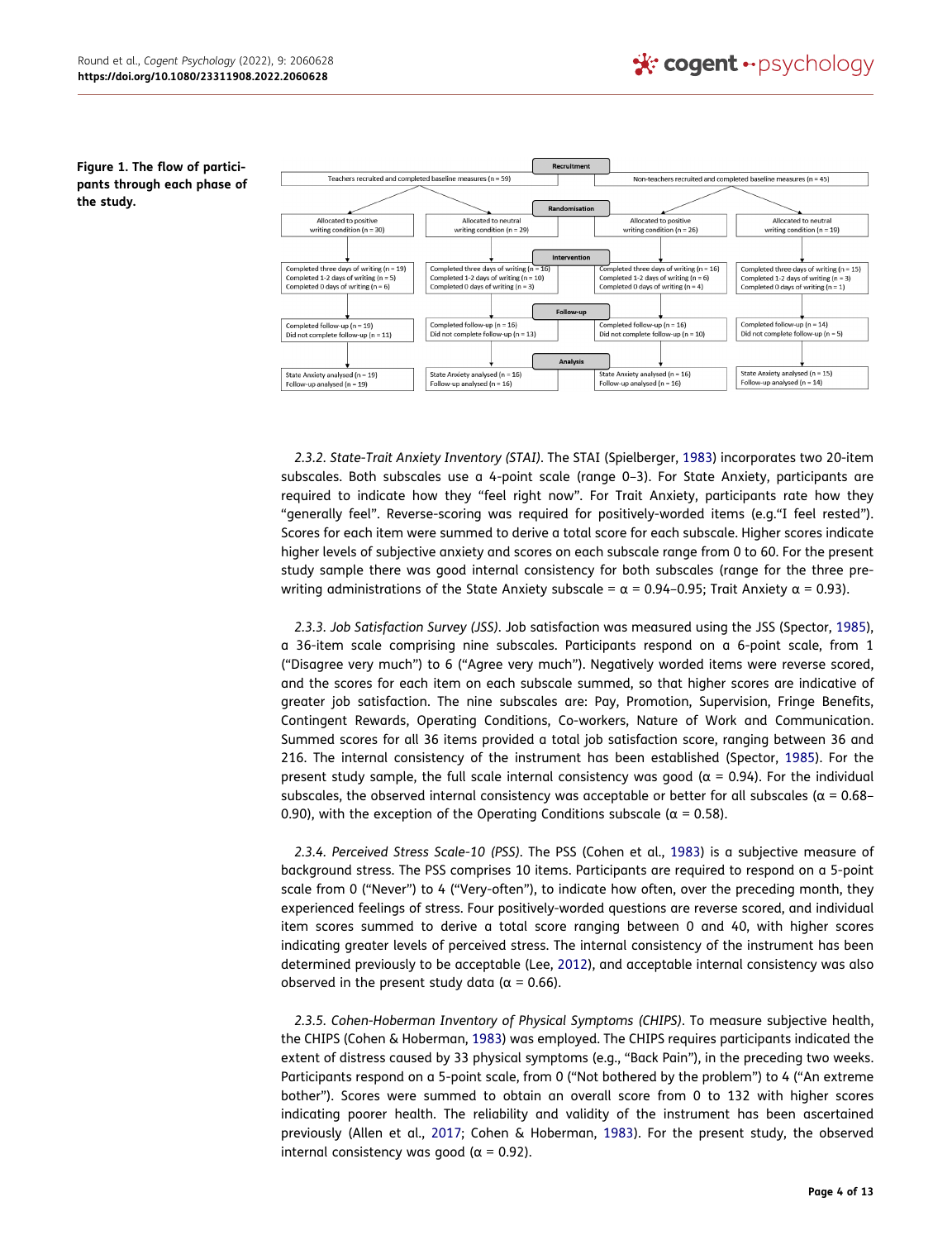#### <span id="page-4-0"></span>**Figure 1. The flow of participants through each phase of the study.**



<span id="page-4-5"></span>*2.3.2. State-Trait Anxiety Inventory (STAI)*. The STAI (Spielberger, [1983](#page-13-3)) incorporates two 20-item subscales. Both subscales use a 4-point scale (range 0–3). For State Anxiety, participants are required to indicate how they "feel right now". For Trait Anxiety, participants rate how they "generally feel". Reverse-scoring was required for positively-worded items (e.g."I feel rested"). Scores for each item were summed to derive a total score for each subscale. Higher scores indicate higher levels of subjective anxiety and scores on each subscale range from 0 to 60. For the present study sample there was good internal consistency for both subscales (range for the three prewriting administrations of the State Anxiety subscale =  $\alpha$  = 0.94-0.95; Trait Anxiety  $\alpha$  = 0.93).

*2.3.3. Job Satisfaction Survey (JSS)*. Job satisfaction was measured using the JSS (Spector, [1985\)](#page-13-4), a 36-item scale comprising nine subscales. Participants respond on a 6-point scale, from 1 ("Disagree very much") to 6 ("Agree very much"). Negatively worded items were reverse scored, and the scores for each item on each subscale summed, so that higher scores are indicative of greater job satisfaction. The nine subscales are: Pay, Promotion, Supervision, Fringe Benefits, Contingent Rewards, Operating Conditions, Co-workers, Nature of Work and Communication. Summed scores for all 36 items provided a total job satisfaction score, ranging between 36 and 216. The internal consistency of the instrument has been established (Spector, [1985\)](#page-13-4). For the present study sample, the full scale internal consistency was good ( $\alpha$  = 0.94). For the individual subscales, the observed internal consistency was acceptable or better for all subscales ( $\alpha$  = 0.68– 0.90), with the exception of the Operating Conditions subscale ( $α = 0.58$ ).

<span id="page-4-4"></span><span id="page-4-2"></span>*2.3.4. Perceived Stress Scale-10 (PSS)*. The PSS (Cohen et al., [1983\)](#page-12-20) is a subjective measure of background stress. The PSS comprises 10 items. Participants are required to respond on a 5-point scale from 0 ("Never") to 4 ("Very-often"), to indicate how often, over the preceding month, they experienced feelings of stress. Four positively-worded questions are reverse scored, and individual item scores summed to derive a total score ranging between 0 and 40, with higher scores indicating greater levels of perceived stress. The internal consistency of the instrument has been determined previously to be acceptable (Lee, [2012](#page-12-21)), and acceptable internal consistency was also observed in the present study data ( $\alpha$  = 0.66).

<span id="page-4-3"></span><span id="page-4-1"></span>*2.3.5. Cohen-Hoberman Inventory of Physical Symptoms (CHIPS)*. To measure subjective health, the CHIPS (Cohen & Hoberman, [1983\)](#page-12-22) was employed. The CHIPS requires participants indicated the extent of distress caused by 33 physical symptoms (e.g., "Back Pain"), in the preceding two weeks. Participants respond on a 5-point scale, from 0 ("Not bothered by the problem") to 4 ("An extreme bother"). Scores were summed to obtain an overall score from 0 to 132 with higher scores indicating poorer health. The reliability and validity of the instrument has been ascertained previously (Allen et al., [2017](#page-12-23); Cohen & Hoberman, [1983\)](#page-12-22). For the present study, the observed internal consistency was good ( $α = 0.92$ ).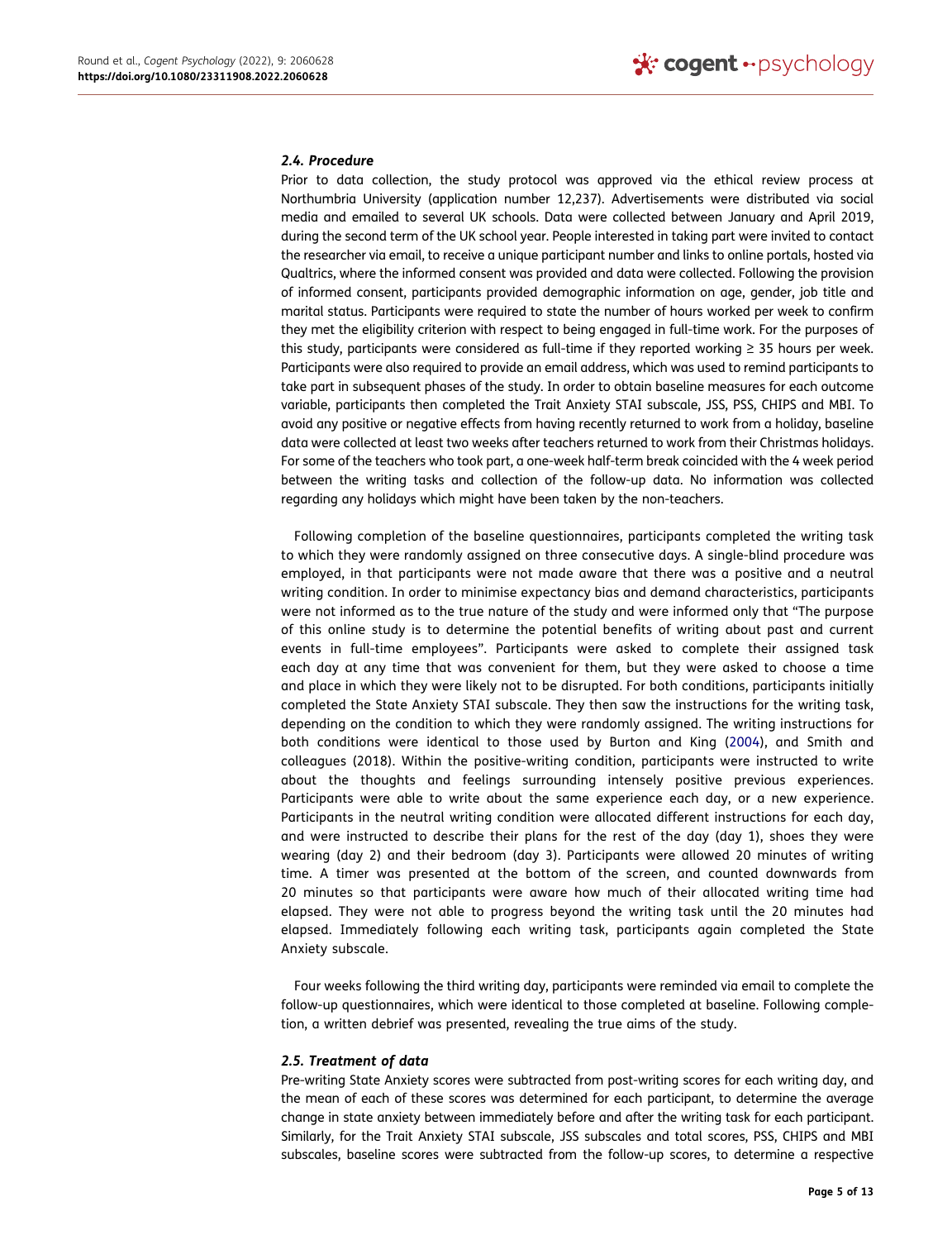#### *2.4. Procedure*

Prior to data collection, the study protocol was approved via the ethical review process at Northumbria University (application number 12,237). Advertisements were distributed via social media and emailed to several UK schools. Data were collected between January and April 2019, during the second term of the UK school year. People interested in taking part were invited to contact the researcher via email, to receive a unique participant number and links to online portals, hosted via Qualtrics, where the informed consent was provided and data were collected. Following the provision of informed consent, participants provided demographic information on age, gender, job title and marital status. Participants were required to state the number of hours worked per week to confirm they met the eligibility criterion with respect to being engaged in full-time work. For the purposes of this study, participants were considered as full-time if they reported working ≥ 35 hours per week. Participants were also required to provide an email address, which was used to remind participants to take part in subsequent phases of the study. In order to obtain baseline measures for each outcome variable, participants then completed the Trait Anxiety STAI subscale, JSS, PSS, CHIPS and MBI. To avoid any positive or negative effects from having recently returned to work from a holiday, baseline data were collected at least two weeks after teachers returned to work from their Christmas holidays. For some of the teachers who took part, a one-week half-term break coincided with the 4 week period between the writing tasks and collection of the follow-up data. No information was collected regarding any holidays which might have been taken by the non-teachers.

<span id="page-5-0"></span>Following completion of the baseline questionnaires, participants completed the writing task to which they were randomly assigned on three consecutive days. A single-blind procedure was employed, in that participants were not made aware that there was a positive and a neutral writing condition. In order to minimise expectancy bias and demand characteristics, participants were not informed as to the true nature of the study and were informed only that "The purpose of this online study is to determine the potential benefits of writing about past and current events in full-time employees". Participants were asked to complete their assigned task each day at any time that was convenient for them, but they were asked to choose a time and place in which they were likely not to be disrupted. For both conditions, participants initially completed the State Anxiety STAI subscale. They then saw the instructions for the writing task, depending on the condition to which they were randomly assigned. The writing instructions for both conditions were identical to those used by Burton and King ([2004\)](#page-12-24), and Smith and colleagues (2018). Within the positive-writing condition, participants were instructed to write about the thoughts and feelings surrounding intensely positive previous experiences. Participants were able to write about the same experience each day, or a new experience. Participants in the neutral writing condition were allocated different instructions for each day, and were instructed to describe their plans for the rest of the day (day 1), shoes they were wearing (day 2) and their bedroom (day 3). Participants were allowed 20 minutes of writing time. A timer was presented at the bottom of the screen, and counted downwards from 20 minutes so that participants were aware how much of their allocated writing time had elapsed. They were not able to progress beyond the writing task until the 20 minutes had elapsed. Immediately following each writing task, participants again completed the State Anxiety subscale.

Four weeks following the third writing day, participants were reminded via email to complete the follow-up questionnaires, which were identical to those completed at baseline. Following completion, a written debrief was presented, revealing the true aims of the study.

#### *2.5. Treatment of data*

Pre-writing State Anxiety scores were subtracted from post-writing scores for each writing day, and the mean of each of these scores was determined for each participant, to determine the average change in state anxiety between immediately before and after the writing task for each participant. Similarly, for the Trait Anxiety STAI subscale, JSS subscales and total scores, PSS, CHIPS and MBI subscales, baseline scores were subtracted from the follow-up scores, to determine a respective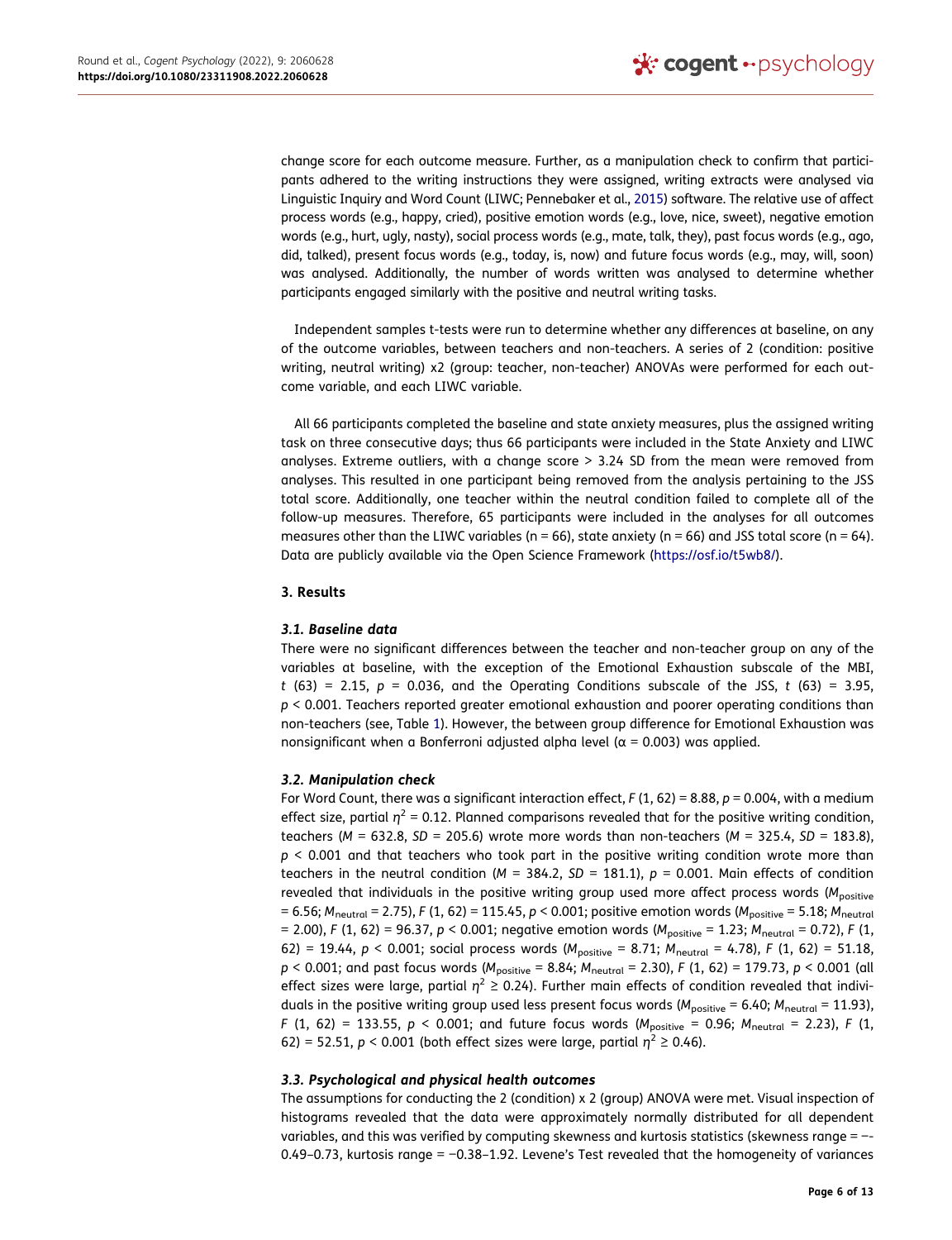<span id="page-6-0"></span>change score for each outcome measure. Further, as a manipulation check to confirm that participants adhered to the writing instructions they were assigned, writing extracts were analysed via Linguistic Inquiry and Word Count (LIWC; Pennebaker et al., [2015\)](#page-12-25) software. The relative use of affect process words (e.g., happy, cried), positive emotion words (e.g., love, nice, sweet), negative emotion words (e.g., hurt, ugly, nasty), social process words (e.g., mate, talk, they), past focus words (e.g., ago, did, talked), present focus words (e.g., today, is, now) and future focus words (e.g., may, will, soon) was analysed. Additionally, the number of words written was analysed to determine whether participants engaged similarly with the positive and neutral writing tasks.

Independent samples t-tests were run to determine whether any differences at baseline, on any of the outcome variables, between teachers and non-teachers. A series of 2 (condition: positive writing, neutral writing) x2 (group: teacher, non-teacher) ANOVAs were performed for each outcome variable, and each LIWC variable.

All 66 participants completed the baseline and state anxiety measures, plus the assigned writing task on three consecutive days; thus 66 participants were included in the State Anxiety and LIWC analyses. Extreme outliers, with a change score  $>$  3.24 SD from the mean were removed from analyses. This resulted in one participant being removed from the analysis pertaining to the JSS total score. Additionally, one teacher within the neutral condition failed to complete all of the follow-up measures. Therefore, 65 participants were included in the analyses for all outcomes measures other than the LIWC variables (n = 66), state anxiety (n = 66) and JSS total score (n = 64). Data are publicly available via the Open Science Framework ([https://osf.io/t5wb8/\)](https://osf.io/t5wb8/).

## **3. Results**

## *3.1. Baseline data*

There were no significant differences between the teacher and non-teacher group on any of the variables at baseline, with the exception of the Emotional Exhaustion subscale of the MBI, *t* (63) = 2.15, *p* = 0.036, and the Operating Conditions subscale of the JSS, *t* (63) = 3.95, *p* < 0.001. Teachers reported greater emotional exhaustion and poorer operating conditions than non-teachers (see, Table [1](#page-7-0)). However, the between group difference for Emotional Exhaustion was nonsignificant when a Bonferroni adjusted alpha level ( $α = 0.003$ ) was applied.

## *3.2. Manipulation check*

For Word Count, there was a significant interaction effect,  $F(1, 62) = 8.88$ ,  $p = 0.004$ , with a medium effect size, partial  $\eta^2$  = 0.12. Planned comparisons revealed that for the positive writing condition, teachers (*M* = 632.8, *SD* = 205.6) wrote more words than non-teachers (*M* = 325.4, *SD* = 183.8), *p* < 0.001 and that teachers who took part in the positive writing condition wrote more than teachers in the neutral condition ( $M = 384.2$ ,  $SD = 181.1$ ),  $p = 0.001$ . Main effects of condition revealed that individuals in the positive writing group used more affect process words (M<sub>positive</sub> = 6.56; *M*neutral = 2.75), *F* (1, 62) = 115.45, *p* < 0.001; positive emotion words (*M*positive = 5.18; *M*neutral = 2.00), *F* (1, 62) = 96.37, *p* < 0.001; negative emotion words (*M*positive = 1.23; *M*neutral = 0.72), *F* (1, 62) = 19.44, *p* < 0.001; social process words (*M*positive = 8.71; *M*neutral = 4.78), *F* (1, 62) = 51.18, *p* < 0.001; and past focus words ( $M_{positive}$  = 8.84;  $M_{neutral}$  = 2.30), *F* (1, 62) = 179.73, *p* < 0.001 (all effect sizes were large, partial *η*2 ≥ 0.24). Further main effects of condition revealed that individuals in the positive writing group used less present focus words ( $M_{\text{positive}} = 6.40$ ;  $M_{\text{neutral}} = 11.93$ ), *F* (1, 62) = 133.55, *p* < 0.001; and future focus words ( $M_{positive}$  = 0.96;  $M_{neutral}$  = 2.23), *F* (1, 62) = 52.51,  $p < 0.001$  (both effect sizes were large, partial  $\eta^2 \ge 0.46$ ).

## *3.3. Psychological and physical health outcomes*

The assumptions for conducting the 2 (condition) x 2 (group) ANOVA were met. Visual inspection of histograms revealed that the data were approximately normally distributed for all dependent variables, and this was verified by computing skewness and kurtosis statistics (skewness range = −- 0.49–0.73, kurtosis range = −0.38–1.92. Levene's Test revealed that the homogeneity of variances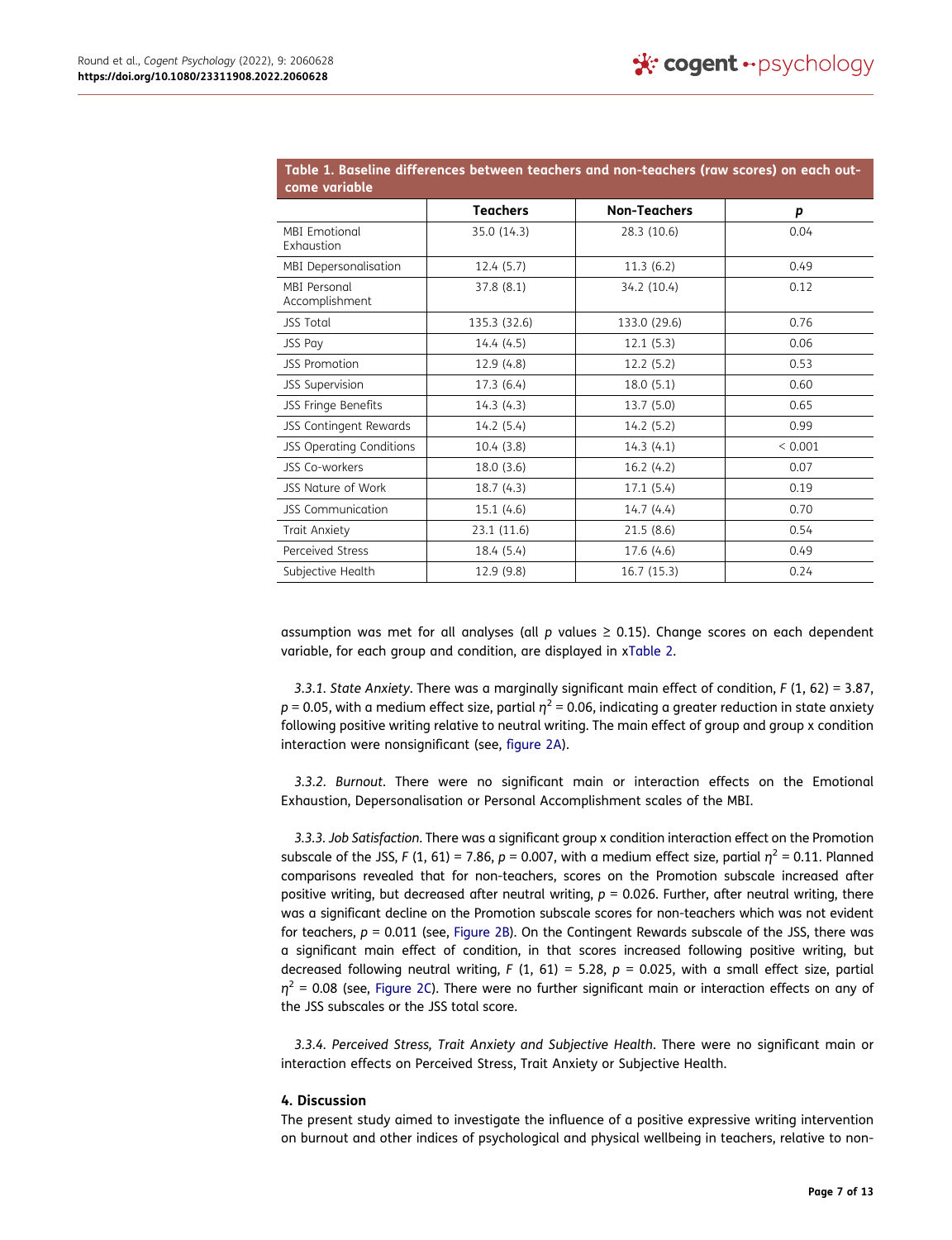<span id="page-7-0"></span>

| come variable                      |                 | Table 1. Baseline differences between teachers and non-teachers (raw scores) on each out- |             |
|------------------------------------|-----------------|-------------------------------------------------------------------------------------------|-------------|
|                                    | <b>Teachers</b> | <b>Non-Teachers</b>                                                                       | р           |
| <b>MBI Emotional</b><br>Exhaustion | 35.0 (14.3)     | 28.3 (10.6)                                                                               | 0.04        |
| MBI Depersonalisation              | 12.4(5.7)       | 11.3(6.2)                                                                                 | 0.49        |
| MBI Personal<br>Accomplishment     | 37.8 (8.1)      | 34.2 (10.4)                                                                               | 0.12        |
| <b>JSS Total</b>                   | 135.3 (32.6)    | 133.0 (29.6)                                                                              | 0.76        |
| <b>JSS Pay</b>                     | 14.4 (4.5)      | 12.1(5.3)                                                                                 | 0.06        |
| <b>JSS Promotion</b>               | 12.9 (4.8)      | 12.2(5.2)                                                                                 | 0.53        |
| <b>JSS Supervision</b>             | 17.3 (6.4)      | 18.0(5.1)                                                                                 | 0.60        |
| JSS Fringe Benefits                | 14.3(4.3)       | 13.7(5.0)                                                                                 | 0.65        |
| <b>JSS Contingent Rewards</b>      | 14.2 (5.4)      | 14.2(5.2)                                                                                 | 0.99        |
| <b>JSS Operating Conditions</b>    | 10.4(3.8)       | 14.3(4.1)                                                                                 | ${}< 0.001$ |
| JSS Co-workers                     | 18.0(3.6)       | 16.2(4.2)                                                                                 | 0.07        |
| <b>JSS Nature of Work</b>          | 18.7(4.3)       | 17.1(5.4)                                                                                 | 0.19        |
| JSS Communication                  | 15.1(4.6)       | 14.7(4.4)                                                                                 | 0.70        |
| Trait Anxiety                      | 23.1 (11.6)     | 21.5(8.6)                                                                                 | 0.54        |
| Perceived Stress                   | 18.4 (5.4)      | 17.6 (4.6)                                                                                | 0.49        |
| Subjective Health                  | 12.9 (9.8)      | 16.7(15.3)                                                                                | 0.24        |

assumption was met for all analyses (all *p* values ≥ 0.15). Change scores on each dependent variable, for each group and condition, are displayed in x[Table 2.](#page-8-0)

*3.3.1. State Anxiety*. There was a marginally significant main effect of condition, *F* (1, 62) = 3.87, *p* = 0.05, with a medium effect size, partial  $η<sup>2</sup> = 0.06$ , indicating a greater reduction in state anxiety following positive writing relative to neutral writing. The main effect of group and group x condition interaction were nonsignificant (see, [figure 2A\)](#page-10-0).

*3.3.2. Burnout*. There were no significant main or interaction effects on the Emotional Exhaustion, Depersonalisation or Personal Accomplishment scales of the MBI.

*3.3.3. Job Satisfaction*. There was a significant group x condition interaction effect on the Promotion subscale of the JSS, *F* (1, 61) = 7.86,  $p = 0.007$ , with a medium effect size, partial  $\eta^2 = 0.11$ . Planned comparisons revealed that for non-teachers, scores on the Promotion subscale increased after positive writing, but decreased after neutral writing,  $p = 0.026$ . Further, after neutral writing, there was a significant decline on the Promotion subscale scores for non-teachers which was not evident for teachers,  $p = 0.011$  (see, [Figure 2B](#page-10-0)). On the Contingent Rewards subscale of the JSS, there was a significant main effect of condition, in that scores increased following positive writing, but decreased following neutral writing, *F* (1, 61) = 5.28, *p* = 0.025, with a small effect size, partial *η*2 = 0.08 (see, [Figure 2C](#page-10-0)). There were no further significant main or interaction effects on any of the JSS subscales or the JSS total score.

*3.3.4. Perceived Stress, Trait Anxiety and Subjective Health*. There were no significant main or interaction effects on Perceived Stress, Trait Anxiety or Subjective Health.

## **4. Discussion**

The present study aimed to investigate the influence of a positive expressive writing intervention on burnout and other indices of psychological and physical wellbeing in teachers, relative to non-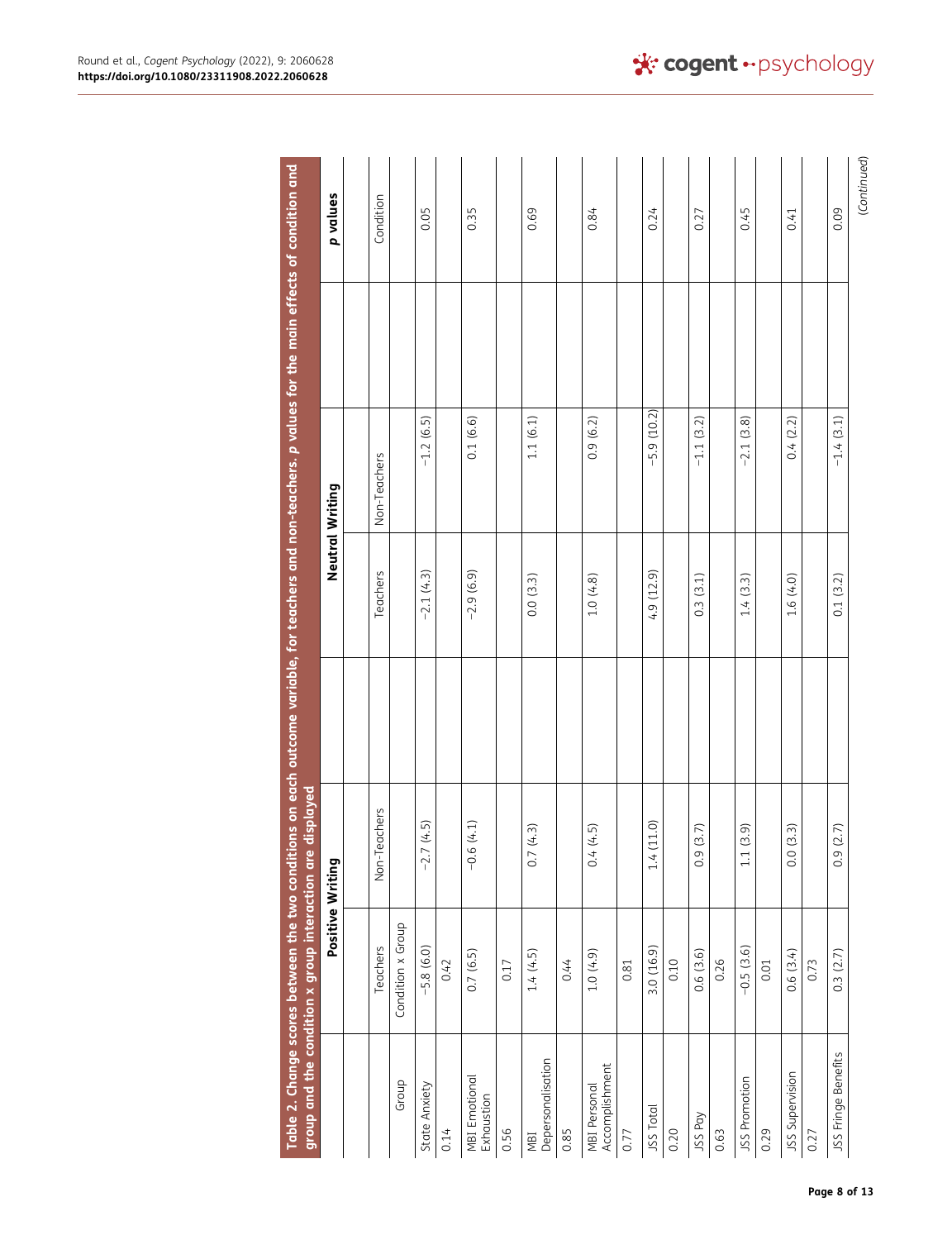<span id="page-8-0"></span>

|                                       | group and the condition <b>x</b> group interaction are displayed |                  | Table 2. Change scores between the two conditions on each outcome variable, for teachers and non-teachers. p values for the main effects of condition and |                 |             |
|---------------------------------------|------------------------------------------------------------------|------------------|-----------------------------------------------------------------------------------------------------------------------------------------------------------|-----------------|-------------|
|                                       | Positive Writing                                                 |                  |                                                                                                                                                           | Neutral Writing | p values    |
|                                       |                                                                  |                  |                                                                                                                                                           |                 |             |
|                                       | Teachers                                                         | eachers<br>Non-T | Teachers                                                                                                                                                  | Non-Teachers    | Condition   |
| Group                                 | Condition x Group                                                |                  |                                                                                                                                                           |                 |             |
| State Anxiety                         | $-5.8(6.0)$                                                      | $-2.7(4.5)$      | $-2.1(4.3)$                                                                                                                                               | $-1.2(6.5)$     | 0.05        |
| 0.14                                  | 0.42                                                             |                  |                                                                                                                                                           |                 |             |
| <b>MBI</b> Emotional<br>Exhaustion    | 0.7(6.5)                                                         | $-0.6(4.1)$      | $-2.9(6.9)$                                                                                                                                               | 0.1(6.6)        | 0.35        |
| 0.56                                  | 0.17                                                             |                  |                                                                                                                                                           |                 |             |
| Depersonalisation<br>NBI              | 1.4(4.5)                                                         | (4.3)<br>0.7     | 0.0(3.3)                                                                                                                                                  | 1.1(6.1)        | 0.69        |
| 0.85                                  | 0.44                                                             |                  |                                                                                                                                                           |                 |             |
| Accomplishment<br><b>MBI Personal</b> | 1.0(4.9)                                                         | (4.5)<br>0.4     | 1.0(4.8)                                                                                                                                                  | 0.9(6.2)        | 0.84        |
| 0.77                                  | 0.81                                                             |                  |                                                                                                                                                           |                 |             |
| JSS Total                             | 3.0 (16.9)                                                       | (11.0)<br>1.4    | 4.9 (12.9)                                                                                                                                                | $-5.9(10.2)$    | 0.24        |
| 0.20                                  | 0.10                                                             |                  |                                                                                                                                                           |                 |             |
| JSS Pay                               | 0.6(3.6)                                                         | (3.7)<br>0.9     | 0.3(3.1)                                                                                                                                                  | $-1.1(3.2)$     | 0.27        |
| 0.63                                  | 0.26                                                             |                  |                                                                                                                                                           |                 |             |
| JSS Promotion                         | $-0.5(3.6)$                                                      | (3.9)<br>$1.1\,$ | 1.4(3.3)                                                                                                                                                  | $-2.1(3.8)$     | 0.45        |
| 0.29                                  | 0.01                                                             |                  |                                                                                                                                                           |                 |             |
| JSS Supervision                       | 0.6(3.4)                                                         | (3.3)<br>0.0     | 1.6(4.0)                                                                                                                                                  | 0.4(2.2)        | 0.41        |
| 0.27                                  | 0.73                                                             |                  |                                                                                                                                                           |                 |             |
| JSS Fringe Benefits                   | 0.3(2.7)                                                         | (2.7)<br>0.9     | 0.1(3.2)                                                                                                                                                  | $-1.4(3.1)$     | 0.09        |
|                                       |                                                                  |                  |                                                                                                                                                           |                 | (Continued) |

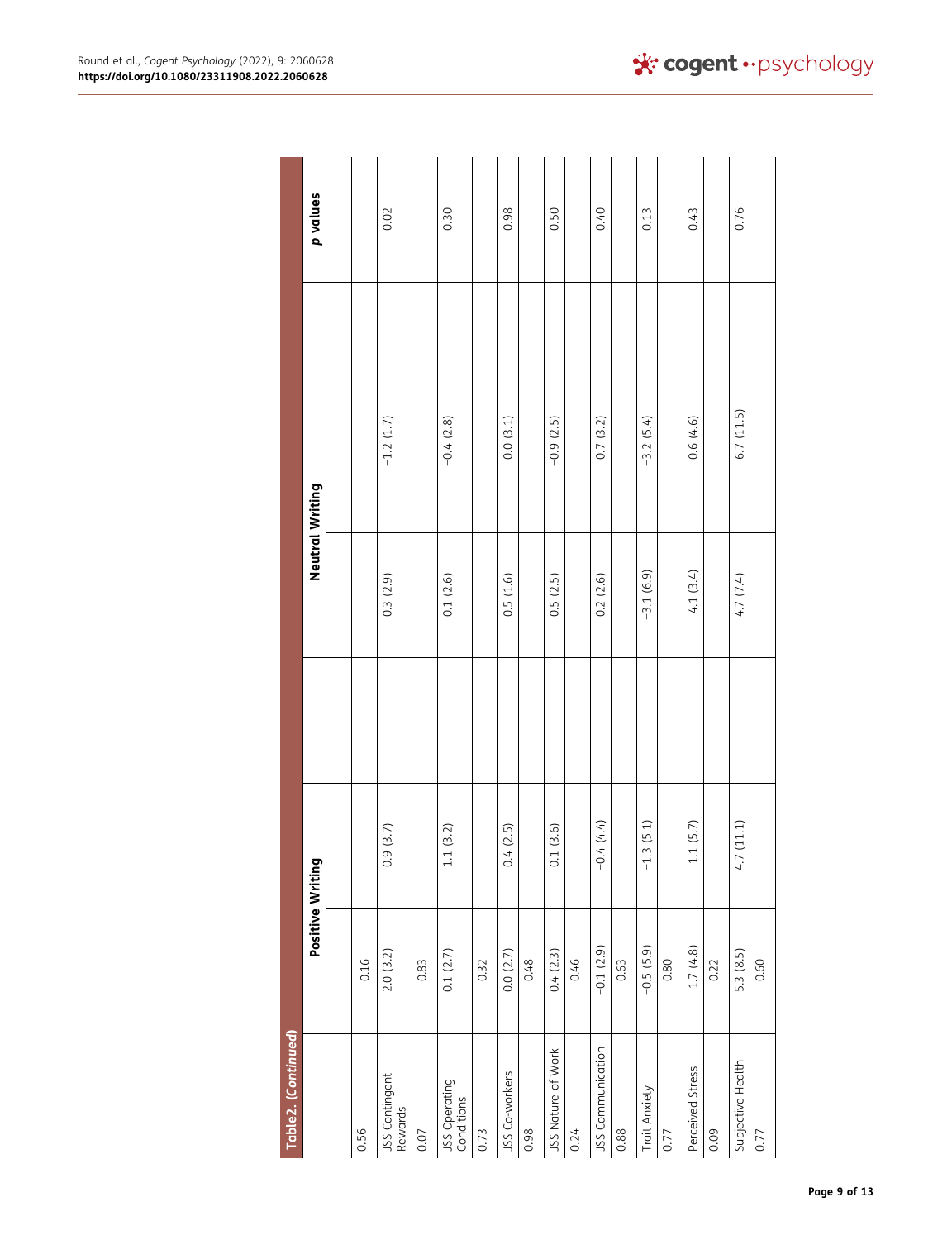| Table2. (Continued)         |                  |                         |                 |             |          |
|-----------------------------|------------------|-------------------------|-----------------|-------------|----------|
|                             | Positive Writing |                         | Neutral Writing |             | p values |
|                             |                  |                         |                 |             |          |
| 0.56                        | 0.16             |                         |                 |             |          |
| JSS Contingent<br>Rewards   | 2.0(3.2)         | 0.9(3.7)                | 0.3(2.9)        | $-1.2(1.7)$ | 0.02     |
| 0.07                        | 0.83             |                         |                 |             |          |
| JSS Operating<br>Conditions | 0.1(2.7)         | (3.2)<br>$1.1\,$        | 0.1(2.6)        | $-0.4(2.8)$ | 0.30     |
| 0.73                        | 0.32             |                         |                 |             |          |
| JSS Co-workers              | 0.0(2.7)         | 0.4(2.5)                | 0.5(1.6)        | 0.0(3.1)    | 0.98     |
| 0.98                        | 0.48             |                         |                 |             |          |
| JSS Nature of Work          | 0.4(2.3)         | (3.6)<br>$\overline{c}$ | 0.5(2.5)        | $-0.9(2.5)$ | 0.50     |
| 0.24                        | 0.46             |                         |                 |             |          |
| JSS Communication           | $-0.1(2.9)$      | $-0.4(4.4)$             | 0.2(2.6)        | 0.7(3.2)    | 0.40     |
| 0.88                        | 0.63             |                         |                 |             |          |
| Trait Anxiety               | $-0.5(5.9)$      | $-1.3(5.1)$             | $-3.1(6.9)$     | $-3.2(5.4)$ | 0.13     |
| 0.77                        | 0.80             |                         |                 |             |          |
| Perceived Stress            | $-1.7(4.8)$      | $-1.1(5.7)$             | $-4.1(3.4)$     | $-0.6(4.6)$ | 0.43     |
| 0.09                        | 0.22             |                         |                 |             |          |
| Subjective Health           | 5.3 (8.5)        | (11.1)<br>4.7           | 4.7 (7.4)       | 6.7(11.5)   | 0.76     |
| 0.77                        | 0.60             |                         |                 |             |          |

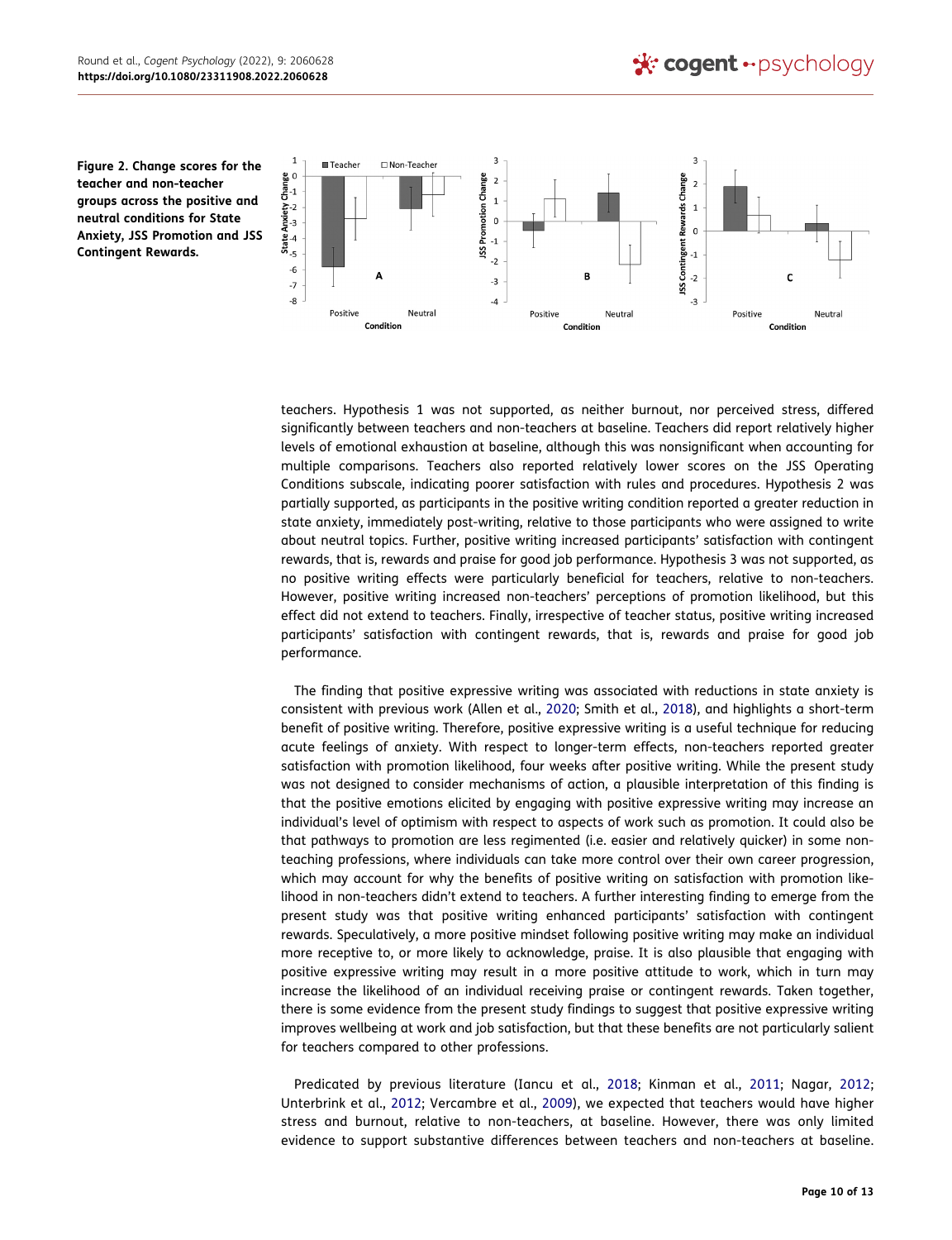<span id="page-10-0"></span>**Figure 2. Change scores for the teacher and non-teacher groups across the positive and neutral conditions for State Anxiety, JSS Promotion and JSS Contingent Rewards.**



teachers. Hypothesis 1 was not supported, as neither burnout, nor perceived stress, differed significantly between teachers and non-teachers at baseline. Teachers did report relatively higher levels of emotional exhaustion at baseline, although this was nonsignificant when accounting for multiple comparisons. Teachers also reported relatively lower scores on the JSS Operating Conditions subscale, indicating poorer satisfaction with rules and procedures. Hypothesis 2 was partially supported, as participants in the positive writing condition reported a greater reduction in state anxiety, immediately post-writing, relative to those participants who were assigned to write about neutral topics. Further, positive writing increased participants' satisfaction with contingent rewards, that is, rewards and praise for good job performance. Hypothesis 3 was not supported, as no positive writing effects were particularly beneficial for teachers, relative to non-teachers. However, positive writing increased non-teachers' perceptions of promotion likelihood, but this effect did not extend to teachers. Finally, irrespective of teacher status, positive writing increased participants' satisfaction with contingent rewards, that is, rewards and praise for good job performance.

<span id="page-10-1"></span>The finding that positive expressive writing was associated with reductions in state anxiety is consistent with previous work (Allen et al., [2020](#page-12-16); Smith et al., [2018\)](#page-12-26), and highlights a short-term benefit of positive writing. Therefore, positive expressive writing is a useful technique for reducing acute feelings of anxiety. With respect to longer-term effects, non-teachers reported greater satisfaction with promotion likelihood, four weeks after positive writing. While the present study was not designed to consider mechanisms of action, a plausible interpretation of this finding is that the positive emotions elicited by engaging with positive expressive writing may increase an individual's level of optimism with respect to aspects of work such as promotion. It could also be that pathways to promotion are less regimented (i.e. easier and relatively quicker) in some nonteaching professions, where individuals can take more control over their own career progression, which may account for why the benefits of positive writing on satisfaction with promotion likelihood in non-teachers didn't extend to teachers. A further interesting finding to emerge from the present study was that positive writing enhanced participants' satisfaction with contingent rewards. Speculatively, a more positive mindset following positive writing may make an individual more receptive to, or more likely to acknowledge, praise. It is also plausible that engaging with positive expressive writing may result in a more positive attitude to work, which in turn may increase the likelihood of an individual receiving praise or contingent rewards. Taken together, there is some evidence from the present study findings to suggest that positive expressive writing improves wellbeing at work and job satisfaction, but that these benefits are not particularly salient for teachers compared to other professions.

Predicated by previous literature (Iancu et al., [2018](#page-12-9); Kinman et al., [2011;](#page-12-13) Nagar, [2012](#page-12-10); Unterbrink et al., [2012](#page-13-2); Vercambre et al., [2009\)](#page-13-0), we expected that teachers would have higher stress and burnout, relative to non-teachers, at baseline. However, there was only limited evidence to support substantive differences between teachers and non-teachers at baseline.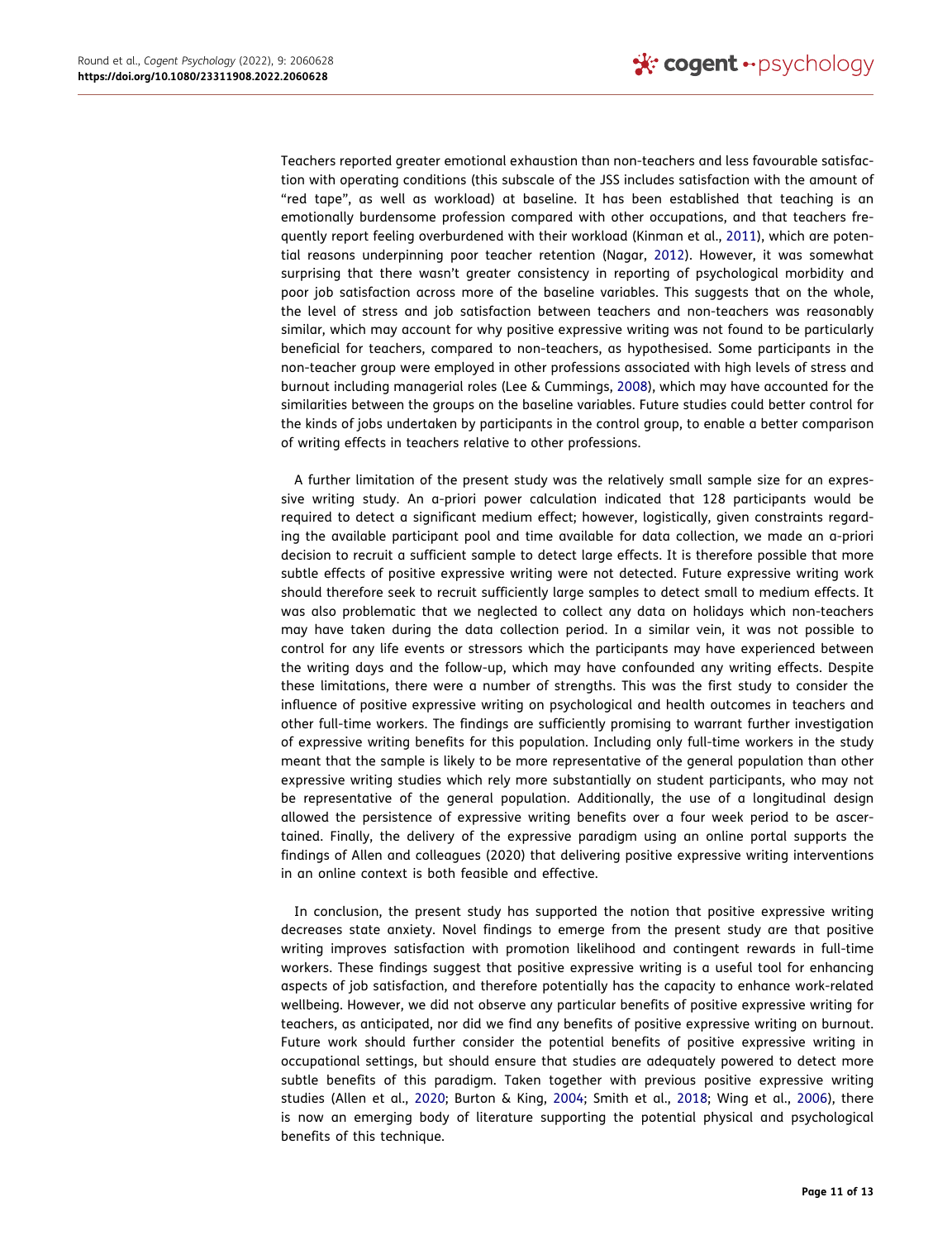Teachers reported greater emotional exhaustion than non-teachers and less favourable satisfaction with operating conditions (this subscale of the JSS includes satisfaction with the amount of "red tape", as well as workload) at baseline. It has been established that teaching is an emotionally burdensome profession compared with other occupations, and that teachers frequently report feeling overburdened with their workload (Kinman et al., [2011\)](#page-12-13), which are potential reasons underpinning poor teacher retention (Nagar, [2012](#page-12-10)). However, it was somewhat surprising that there wasn't greater consistency in reporting of psychological morbidity and poor job satisfaction across more of the baseline variables. This suggests that on the whole, the level of stress and job satisfaction between teachers and non-teachers was reasonably similar, which may account for why positive expressive writing was not found to be particularly beneficial for teachers, compared to non-teachers, as hypothesised. Some participants in the non-teacher group were employed in other professions associated with high levels of stress and burnout including managerial roles (Lee & Cummings, [2008\)](#page-12-27), which may have accounted for the similarities between the groups on the baseline variables. Future studies could better control for the kinds of jobs undertaken by participants in the control group, to enable a better comparison of writing effects in teachers relative to other professions.

<span id="page-11-0"></span>A further limitation of the present study was the relatively small sample size for an expressive writing study. An a-priori power calculation indicated that 128 participants would be required to detect a significant medium effect; however, logistically, given constraints regarding the available participant pool and time available for data collection, we made an a-priori decision to recruit a sufficient sample to detect large effects. It is therefore possible that more subtle effects of positive expressive writing were not detected. Future expressive writing work should therefore seek to recruit sufficiently large samples to detect small to medium effects. It was also problematic that we neglected to collect any data on holidays which non-teachers may have taken during the data collection period. In a similar vein, it was not possible to control for any life events or stressors which the participants may have experienced between the writing days and the follow-up, which may have confounded any writing effects. Despite these limitations, there were a number of strengths. This was the first study to consider the influence of positive expressive writing on psychological and health outcomes in teachers and other full-time workers. The findings are sufficiently promising to warrant further investigation of expressive writing benefits for this population. Including only full-time workers in the study meant that the sample is likely to be more representative of the general population than other expressive writing studies which rely more substantially on student participants, who may not be representative of the general population. Additionally, the use of a longitudinal design allowed the persistence of expressive writing benefits over a four week period to be ascertained. Finally, the delivery of the expressive paradigm using an online portal supports the findings of Allen and colleagues (2020) that delivering positive expressive writing interventions in an online context is both feasible and effective.

<span id="page-11-1"></span>In conclusion, the present study has supported the notion that positive expressive writing decreases state anxiety. Novel findings to emerge from the present study are that positive writing improves satisfaction with promotion likelihood and contingent rewards in full-time workers. These findings suggest that positive expressive writing is a useful tool for enhancing aspects of job satisfaction, and therefore potentially has the capacity to enhance work-related wellbeing. However, we did not observe any particular benefits of positive expressive writing for teachers, as anticipated, nor did we find any benefits of positive expressive writing on burnout. Future work should further consider the potential benefits of positive expressive writing in occupational settings, but should ensure that studies are adequately powered to detect more subtle benefits of this paradigm. Taken together with previous positive expressive writing studies (Allen et al., [2020](#page-12-16); Burton & King, [2004;](#page-12-24) Smith et al., [2018](#page-12-26); Wing et al., [2006\)](#page-13-5), there is now an emerging body of literature supporting the potential physical and psychological benefits of this technique.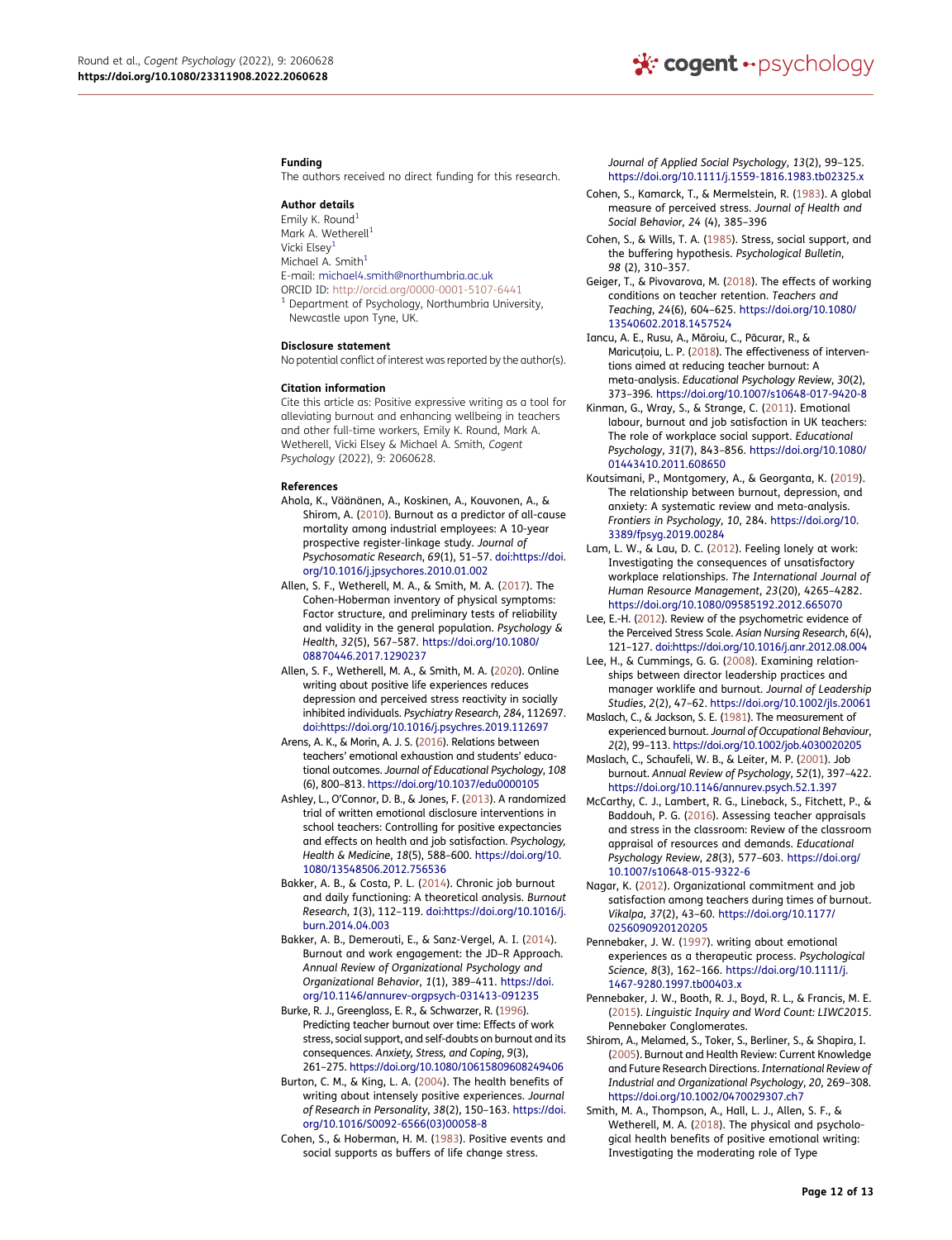#### **Funding**

The authors received no direct funding for this research.

#### **Author details**

<span id="page-12-0"></span>Emily K. Round<sup>1</sup> Mark A. Wetherell<sup>1</sup> Vicki Elsey<sup>[1](#page-1-0)</sup> Michael  $A$ . Smith $1$ E-mail: michael4.smith@northumbria.ac.uk<br>ORCID ID: http://orcid.org/0000-0001-5107-6441  $1$  Department of Psychology, Northumbria University,

#### **Disclosure statement**

Newcastle upon Tyne, UK.

No potential conflict of interest was reported by the author(s).

#### **Citation information**

Cite this article as: Positive expressive writing as a tool for alleviating burnout and enhancing wellbeing in teachers and other full-time workers, Emily K. Round, Mark A. Wetherell, Vicki Elsey & Michael A. Smith*, Cogent Psychology* (2022), 9: 2060628.

#### **References**

- <span id="page-12-5"></span>Ahola, K., Väänänen, A., Koskinen, A., Kouvonen, A., & Shirom, A. ([2010](#page-1-1)). Burnout as a predictor of all-cause mortality among industrial employees: A 10-year prospective register-linkage study. *Journal of Psychosomatic Research*, *69*(1), 51–57. [doi:https://doi.](http://doi:https://doi.org/10.1016/j.jpsychores.2010.01.002) [org/10.1016/j.jpsychores.2010.01.002](http://doi:https://doi.org/10.1016/j.jpsychores.2010.01.002)
- <span id="page-12-23"></span>Allen, S. F., Wetherell, M. A., & Smith, M. A. [\(2017](#page-4-1)). The Cohen-Hoberman inventory of physical symptoms: Factor structure, and preliminary tests of reliability and validity in the general population. *Psychology & Health*, *32*(5), 567–587. [https://doi.org/10.1080/](https://doi.org/10.1080/08870446.2017.1290237) [08870446.2017.1290237](https://doi.org/10.1080/08870446.2017.1290237)
- <span id="page-12-16"></span>Allen, S. F., Wetherell, M. A., & Smith, M. A. [\(2020](#page-2-0)). Online writing about positive life experiences reduces depression and perceived stress reactivity in socially inhibited individuals. *Psychiatry Research*, *284*, 112697. [doi:https://doi.org/10.1016/j.psychres.2019.112697](http://doi:https://doi.org/10.1016/j.psychres.2019.112697)
- <span id="page-12-12"></span>Arens, A. K., & Morin, A. J. S. [\(2016](#page-2-1)). Relations between teachers' emotional exhaustion and students' educational outcomes. *Journal of Educational Psychology*, *108*  (6), 800–813.<https://doi.org/10.1037/edu0000105>
- <span id="page-12-18"></span>Ashley, L., O'Connor, D. B., & Jones, F. ([2013\)](#page-2-2). A randomized trial of written emotional disclosure interventions in school teachers: Controlling for positive expectancies and effects on health and job satisfaction. *Psychology, Health & Medicine*, *18*(5), 588–600. [https://doi.org/10.](https://doi.org/10.1080/13548506.2012.756536) [1080/13548506.2012.756536](https://doi.org/10.1080/13548506.2012.756536)
- <span id="page-12-6"></span>Bakker, A. B., & Costa, P. L. ([2014\)](#page-1-2). Chronic job burnout and daily functioning: A theoretical analysis. *Burnout Research*, *1*(3), 112–119. [doi:https://doi.org/10.1016/j.](http://doi:https://doi.org/10.1016/j.burn.2014.04.003) [burn.2014.04.003](http://doi:https://doi.org/10.1016/j.burn.2014.04.003)
- <span id="page-12-7"></span>Bakker, A. B., Demerouti, E., & Sanz-Vergel, A. I. ([2014\)](#page-2-3). Burnout and work engagement: the JD–R Approach. *Annual Review of Organizational Psychology and Organizational Behavior*, *1*(1), 389–411. [https://doi.](https://doi.org/10.1146/annurev-orgpsych-031413-091235)  [org/10.1146/annurev-orgpsych-031413-091235](https://doi.org/10.1146/annurev-orgpsych-031413-091235)
- <span id="page-12-2"></span>Burke, R. J., Greenglass, E. R., & Schwarzer, R. [\(1996\)](#page-1-3). Predicting teacher burnout over time: Effects of work stress, social support, and self-doubts on burnout and its consequences. *Anxiety, Stress, and Coping*, *9*(3), 261–275. <https://doi.org/10.1080/10615809608249406>
- <span id="page-12-24"></span>Burton, C. M., & King, L. A. ([2004\)](#page-5-0). The health benefits of writing about intensely positive experiences. *Journal of Research in Personality*, *38*(2), 150–163. [https://doi.](https://doi.org/10.1016/S0092-6566(03)00058-8) [org/10.1016/S0092-6566\(03\)00058-8](https://doi.org/10.1016/S0092-6566(03)00058-8)
- <span id="page-12-22"></span>Cohen, S., & Hoberman, H. M. [\(1983](#page-4-1)). Positive events and social supports as buffers of life change stress.

*Journal of Applied Social Psychology*, *13*(2), 99–125. <https://doi.org/10.1111/j.1559-1816.1983.tb02325.x>

- <span id="page-12-20"></span>Cohen, S., Kamarck, T., & Mermelstein, R. ([1983\)](#page-4-2). A global measure of perceived stress. *Journal of Health and Social Behavior*, *24* (4), 385–396
- <span id="page-12-14"></span>Cohen, S., & Wills, T. A. ([1985\)](#page-2-4). Stress, social support, and the buffering hypothesis. *Psychological Bulletin*, *98* (2), 310–357.
- <span id="page-12-11"></span>Geiger, T., & Pivovarova, M. [\(2018](#page-2-5)). The effects of working conditions on teacher retention. *Teachers and Teaching*, *24*(6), 604–625. [https://doi.org/10.1080/](https://doi.org/10.1080/13540602.2018.1457524) [13540602.2018.1457524](https://doi.org/10.1080/13540602.2018.1457524)
- <span id="page-12-9"></span>Iancu, A. E., Rusu, A., Măroiu, C., Păcurar, R., & Maricuțoiu, L. P. ([2018](#page-2-6)). The effectiveness of interventions aimed at reducing teacher burnout: A meta-analysis. *Educational Psychology Review*, *30*(2), 373–396. <https://doi.org/10.1007/s10648-017-9420-8>
- <span id="page-12-13"></span>Kinman, G., Wray, S., & Strange, C. [\(2011\)](#page-2-7). Emotional labour, burnout and job satisfaction in UK teachers: The role of workplace social support. *Educational Psychology*, *31*(7), 843–856. [https://doi.org/10.1080/](https://doi.org/10.1080/01443410.2011.608650)  [01443410.2011.608650](https://doi.org/10.1080/01443410.2011.608650)
- <span id="page-12-3"></span>Koutsimani, P., Montgomery, A., & Georganta, K. [\(2019](#page-1-3)). The relationship between burnout, depression, and anxiety: A systematic review and meta-analysis. *Frontiers in Psychology*, *10*, 284. [https://doi.org/10.](https://doi.org/10.3389/fpsyg.2019.00284)  [3389/fpsyg.2019.00284](https://doi.org/10.3389/fpsyg.2019.00284)
- <span id="page-12-15"></span>Lam, L. W., & Lau, D. C. ([2012\)](#page-2-8). Feeling lonely at work: Investigating the consequences of unsatisfactory workplace relationships. *The International Journal of Human Resource Management*, *23*(20), 4265–4282. <https://doi.org/10.1080/09585192.2012.665070>
- <span id="page-12-21"></span>Lee, E.-H. [\(2012](#page-4-3)). Review of the psychometric evidence of the Perceived Stress Scale. *Asian Nursing Research*, *6*(4), 121–127. [doi:https://doi.org/10.1016/j.anr.2012.08.004](http://doi:https://doi.org/10.1016/j.anr.2012.08.004)
- <span id="page-12-27"></span>Lee, H., & Cummings, G. G. [\(2008](#page-11-0)). Examining relationships between director leadership practices and manager worklife and burnout. *Journal of Leadership Studies*, *2*(2), 47–62. <https://doi.org/10.1002/jls.20061>
- <span id="page-12-19"></span>Maslach, C., & Jackson, S. E. [\(1981\)](#page-3-0). The measurement of experienced burnout. *Journal of Occupational Behaviour*, *2*(2), 99–113. <https://doi.org/10.1002/job.4030020205>
- <span id="page-12-1"></span>Maslach, C., Schaufeli, W. B., & Leiter, M. P. [\(2001\)](#page-1-4). Job burnout. *Annual Review of Psychology*, *52*(1), 397–422. <https://doi.org/10.1146/annurev.psych.52.1.397>
- <span id="page-12-8"></span>McCarthy, C. J., Lambert, R. G., Lineback, S., Fitchett, P., & Baddouh, P. G. [\(2016](#page-2-9)). Assessing teacher appraisals and stress in the classroom: Review of the classroom appraisal of resources and demands. *Educational Psychology Review*, *28*(3), 577–603. [https://doi.org/](https://doi.org/10.1007/s10648-015-9322-6)  [10.1007/s10648-015-9322-6](https://doi.org/10.1007/s10648-015-9322-6)
- <span id="page-12-10"></span>Nagar, K. [\(2012](#page-2-10)). Organizational commitment and job satisfaction among teachers during times of burnout. *Vikalpa*, *37*(2), 43–60. [https://doi.org/10.1177/](https://doi.org/10.1177/0256090920120205)  [0256090920120205](https://doi.org/10.1177/0256090920120205)
- <span id="page-12-17"></span>Pennebaker, J. W. ([1997\)](#page-2-11). writing about emotional experiences as a therapeutic process. *Psychological Science*, *8*(3), 162–166. [https://doi.org/10.1111/j.](https://doi.org/10.1111/j.1467-9280.1997.tb00403.x) [1467-9280.1997.tb00403.x](https://doi.org/10.1111/j.1467-9280.1997.tb00403.x)
- <span id="page-12-25"></span>Pennebaker, J. W., Booth, R. J., Boyd, R. L., & Francis, M. E. ([2015\)](#page-6-0). *Linguistic Inquiry and Word Count: LIWC2015*. Pennebaker Conglomerates.
- <span id="page-12-4"></span>Shirom, A., Melamed, S., Toker, S., Berliner, S., & Shapira, I. ([2005](#page-1-1)). Burnout and Health Review: Current Knowledge and Future Research Directions. *International Review of Industrial and Organizational Psychology*, *20*, 269–308. <https://doi.org/10.1002/0470029307.ch7>
- <span id="page-12-26"></span>Smith, M. A., Thompson, A., Hall, L. J., Allen, S. F., & Wetherell, M. A. ([2018\)](#page-10-1). The physical and psychological health benefits of positive emotional writing: Investigating the moderating role of Type